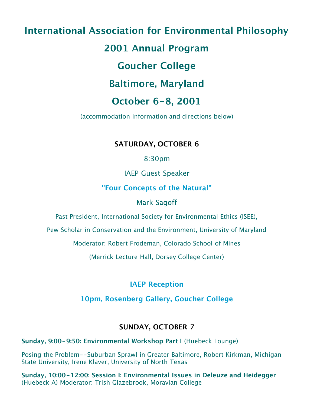# **International Association for Environmental Philosophy**

## **2001 Annual Program**

## **Goucher College**

## **Baltimore, Maryland**

## **October 6-8, 2001**

(accommodation information and directions below)

### **SATURDAY, OCTOBER 6**

8:30pm

IAEP Guest Speaker

### **"Four Concepts of the Natural"**

### Mark Sagoff

Past President, International Society for Environmental Ethics (ISEE),

Pew Scholar in Conservation and the Environment, University of Maryland

Moderator: Robert Frodeman, Colorado School of Mines

(Merrick Lecture Hall, Dorsey College Center)

### **IAEP Reception**

### **10pm, Rosenberg Gallery, Goucher College**

### **SUNDAY, OCTOBER 7**

**Sunday, 9:00-9:50: Environmental Workshop Part I (Huebeck Lounge)** 

Posing the Problem--Suburban Sprawl in Greater Baltimore, Robert Kirkman, Michigan State University, Irene Klaver, University of North Texas

**Sunday, 10:00-12:00: Session I: Environmental Issues in Deleuze and Heidegger** (Huebeck A) Moderator: Trish Glazebrook, Moravian College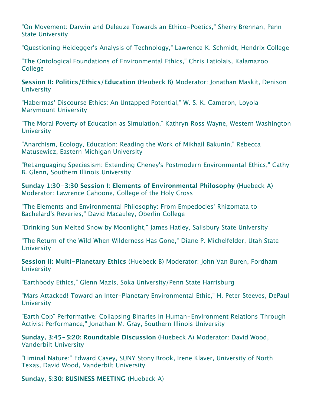"On Movement: Darwin and Deleuze Towards an Ethico-Poetics," Sherry Brennan, Penn State University

"Questioning Heidegger's Analysis of Technology," Lawrence K. Schmidt, Hendrix College

"The Ontological Foundations of Environmental Ethics," Chris Latiolais, Kalamazoo **College** 

**Session II: Politics/Ethics/Education** (Heubeck B) Moderator: Jonathan Maskit, Denison **University** 

"Habermas' Discourse Ethics: An Untapped Potential," W. S. K. Cameron, Loyola Marymount University

"The Moral Poverty of Education as Simulation," Kathryn Ross Wayne, Western Washington **University** 

"Anarchism, Ecology, Education: Reading the Work of Mikhail Bakunin," Rebecca Matusewicz, Eastern Michigan University

"ReLanguaging Speciesism: Extending Cheney's Postmodern Environmental Ethics," Cathy B. Glenn, Southern Illinois University

**Sunday 1:30-3:30 Session I: Elements of Environmental Philosophy** (Huebeck A) Moderator: Lawrence Cahoone, College of the Holy Cross

"The Elements and Environmental Philosophy: From Empedocles' Rhizomata to Bachelard's Reveries," David Macauley, Oberlin College

"Drinking Sun Melted Snow by Moonlight," James Hatley, Salisbury State University

"The Return of the Wild When Wilderness Has Gone," Diane P. Michelfelder, Utah State **University** 

**Session II: Multi-Planetary Ethics** (Huebeck B) Moderator: John Van Buren, Fordham **University** 

"Earthbody Ethics," Glenn Mazis, Soka University/Penn State Harrisburg

"Mars Attacked! Toward an Inter-Planetary Environmental Ethic," H. Peter Steeves, DePaul **University** 

"Earth Cop" Performative: Collapsing Binaries in Human-Environment Relations Through Activist Performance," Jonathan M. Gray, Southern Illinois University

**Sunday, 3:45-5:20: Roundtable Discussion** (Huebeck A) Moderator: David Wood, Vanderbilt University

"Liminal Nature:" Edward Casey, SUNY Stony Brook, Irene Klaver, University of North Texas, David Wood, Vanderbilt University

**Sunday, 5:30: BUSINESS MEETING** (Huebeck A)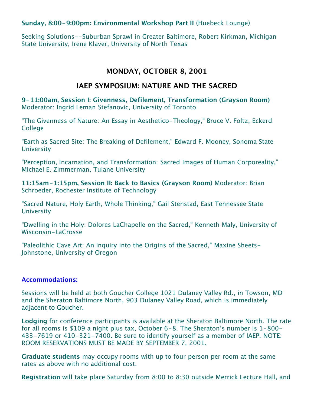#### **Sunday, 8:00-9:00pm: Environmental Workshop Part II** (Huebeck Lounge)

Seeking Solutions--Suburban Sprawl in Greater Baltimore, Robert Kirkman, Michigan State University, Irene Klaver, University of North Texas

#### **MONDAY, OCTOBER 8, 2001**

#### **IAEP SYMPOSIUM: NATURE AND THE SACRED**

**9-11:00am, Session I: Givenness, Defilement, Transformation (Grayson Room)** Moderator: Ingrid Leman Stefanovic, University of Toronto

"The Givenness of Nature: An Essay in Aesthetico-Theology," Bruce V. Foltz, Eckerd College

"Earth as Sacred Site: The Breaking of Defilement," Edward F. Mooney, Sonoma State **University** 

"Perception, Incarnation, and Transformation: Sacred Images of Human Corporeality," Michael E. Zimmerman, Tulane University

**11:15am-1:15pm, Session II: Back to Basics (Grayson Room)** Moderator: Brian Schroeder, Rochester Institute of Technology

"Sacred Nature, Holy Earth, Whole Thinking," Gail Stenstad, East Tennessee State **University** 

"Dwelling in the Holy: Dolores LaChapelle on the Sacred," Kenneth Maly, University of Wisconsin-LaCrosse

"Paleolithic Cave Art: An Inquiry into the Origins of the Sacred," Maxine Sheets-Johnstone, University of Oregon

#### **Accommodations:**

Sessions will be held at both Goucher College 1021 Dulaney Valley Rd., in Towson, MD and the Sheraton Baltimore North, 903 Dulaney Valley Road, which is immediately adjacent to Goucher.

**Lodging** for conference participants is available at the Sheraton Baltimore North. The rate for all rooms is \$109 a night plus tax, October 6-8. The Sheraton's number is 1-800- 433-7619 or 410-321-7400. Be sure to identify yourself as a member of IAEP. NOTE: ROOM RESERVATIONS MUST BE MADE BY SEPTEMBER 7, 2001.

**Graduate students** may occupy rooms with up to four person per room at the same rates as above with no additional cost.

**Registration** will take place Saturday from 8:00 to 8:30 outside Merrick Lecture Hall, and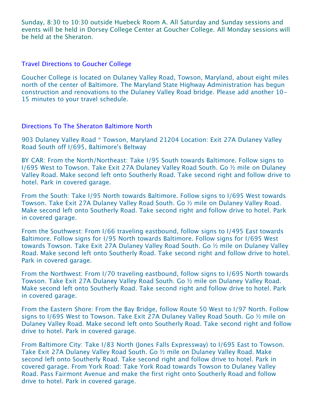Sunday, 8:30 to 10:30 outside Huebeck Room A. All Saturday and Sunday sessions and events will be held in Dorsey College Center at Goucher College. All Monday sessions will be held at the Sheraton.

#### Travel Directions to Goucher College

Goucher College is located on Dulaney Valley Road, Towson, Maryland, about eight miles north of the center of Baltimore. The Maryland State Highway Administration has begun construction and renovations to the Dulaney Valley Road bridge. Please add another 10- 15 minutes to your travel schedule.

#### Directions To The Sheraton Baltimore North

903 Dulaney Valley Road \* Towson, Maryland 21204 Location: Exit 27A Dulaney Valley Road South off I/695, Baltimore's Beltway

BY CAR: From the North/Northeast: Take I/95 South towards Baltimore. Follow signs to I/695 West to Towson. Take Exit 27A Dulaney Valley Road South. Go ½ mile on Dulaney Valley Road. Make second left onto Southerly Road. Take second right and follow drive to hotel. Park in covered garage.

From the South: Take I/95 North towards Baltimore. Follow signs to I/695 West towards Towson. Take Exit 27A Dulaney Valley Road South. Go ½ mile on Dulaney Valley Road. Make second left onto Southerly Road. Take second right and follow drive to hotel. Park in covered garage.

From the Southwest: From I/66 traveling eastbound, follow signs to I/495 East towards Baltimore. Follow signs for I/95 North towards Baltimore. Follow signs for I/695 West towards Towson. Take Exit 27A Dulaney Valley Road South. Go ½ mile on Dulaney Valley Road. Make second left onto Southerly Road. Take second right and follow drive to hotel. Park in covered garage.

From the Northwest: From I/70 traveling eastbound, follow signs to I/695 North towards Towson. Take Exit 27A Dulaney Valley Road South. Go ½ mile on Dulaney Valley Road. Make second left onto Southerly Road. Take second right and follow drive to hotel. Park in covered garage.

From the Eastern Shore: From the Bay Bridge, follow Route 50 West to I/97 North. Follow signs to I/695 West to Towson. Take Exit 27A Dulaney Valley Road South. Go ½ mile on Dulaney Valley Road. Make second left onto Southerly Road. Take second right and follow drive to hotel. Park in covered garage.

From Baltimore City: Take I/83 North (Jones Falls Expressway) to I/695 East to Towson. Take Exit 27A Dulaney Valley Road South. Go ½ mile on Dulaney Valley Road. Make second left onto Southerly Road. Take second right and follow drive to hotel. Park in covered garage. From York Road: Take York Road towards Towson to Dulaney Valley Road. Pass Fairmont Avenue and make the first right onto Southerly Road and follow drive to hotel. Park in covered garage.